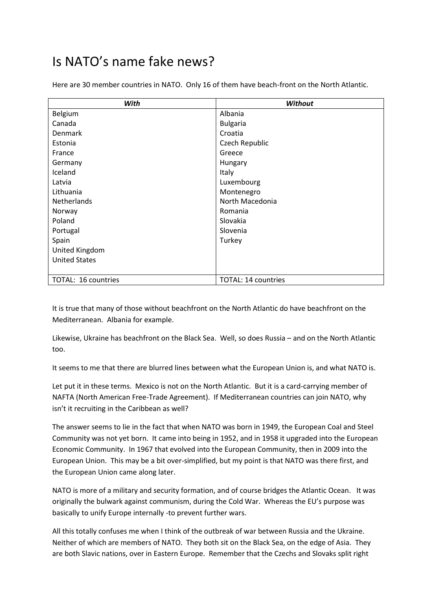## Is NATO's name fake news?

Here are 30 member countries in NATO. Only 16 of them have beach-front on the North Atlantic.

| With                 | <b>Without</b>      |
|----------------------|---------------------|
| Belgium              | Albania             |
| Canada               | <b>Bulgaria</b>     |
| Denmark              | Croatia             |
| Estonia              | Czech Republic      |
| France               | Greece              |
| Germany              | Hungary             |
| Iceland              | Italy               |
| Latvia               | Luxembourg          |
| Lithuania            | Montenegro          |
| Netherlands          | North Macedonia     |
| Norway               | Romania             |
| Poland               | Slovakia            |
| Portugal             | Slovenia            |
| Spain                | Turkey              |
| United Kingdom       |                     |
| <b>United States</b> |                     |
|                      |                     |
| TOTAL: 16 countries  | TOTAL: 14 countries |

It is true that many of those without beachfront on the North Atlantic do have beachfront on the Mediterranean. Albania for example.

Likewise, Ukraine has beachfront on the Black Sea. Well, so does Russia – and on the North Atlantic too.

It seems to me that there are blurred lines between what the European Union is, and what NATO is.

Let put it in these terms. Mexico is not on the North Atlantic. But it is a card-carrying member of NAFTA (North American Free-Trade Agreement). If Mediterranean countries can join NATO, why isn't it recruiting in the Caribbean as well?

The answer seems to lie in the fact that when NATO was born in 1949, the European Coal and Steel Community was not yet born. It came into being in 1952, and in 1958 it upgraded into the European Economic Community. In 1967 that evolved into the European Community, then in 2009 into the European Union. This may be a bit over-simplified, but my point is that NATO was there first, and the European Union came along later.

NATO is more of a military and security formation, and of course bridges the Atlantic Ocean. It was originally the bulwark against communism, during the Cold War. Whereas the EU's purpose was basically to unify Europe internally -to prevent further wars.

All this totally confuses me when I think of the outbreak of war between Russia and the Ukraine. Neither of which are members of NATO. They both sit on the Black Sea, on the edge of Asia. They are both Slavic nations, over in Eastern Europe. Remember that the Czechs and Slovaks split right